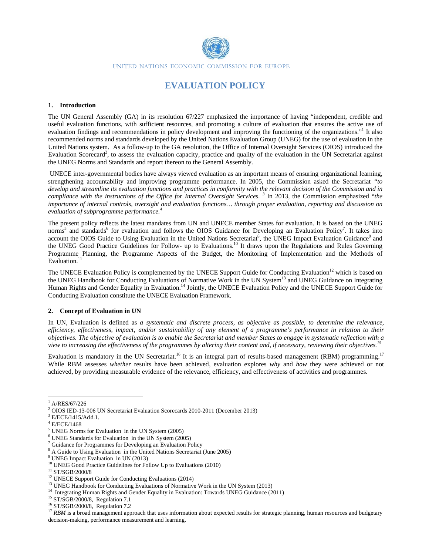

# **EVALUATION POLICY**

#### 1. Introduction

The UN General Assembly (GA) in its resolution 67/227 emphasized the importance of having "independent, credible and useful evaluation functions, with sufficient resources, and promoting a culture of evaluation that ensures the active use of evaluation findings and recommendations in policy development and improving the functioning of the organizations." It also recommended norms and standards developed by the United Nations Evaluation Group (UNEG) for the use of evaluation in the United Nations system. As a follow-up to the GA resolution, the Office of Internal Oversight Services (OIOS) introduced the Evaluation Scorecard<sup>2</sup>, to assess the evaluation capacity, practice and quality of the evaluation in the UN Secretariat against the UNEG Norms and Standards and report thereon to the General Assembly.

UNECE inter-governmental bodies have always viewed evaluation as an important means of ensuring organizational learning, strengthening accountability and improving programme performance. In 2005, the Commission asked the Secretariat "to develop and streamline its evaluation functions and practices in conformity with the relevant decision of the Commission and in compliance with the instructions of the Office for Internal Oversight Services.<sup>3</sup> In 2013, the Commission emphasized "the importance of internal controls, oversight and evaluation functions... through proper evaluation, reporting and discussion on evaluation of subprogramme performance.<sup>4</sup>

The present policy reflects the latest mandates from UN and UNECE member States for evaluation. It is based on the UNEG norms<sup>5</sup> and standards<sup>6</sup> for evaluation and follows the OIOS Guidance for Developing an Evaluation Policy<sup>7</sup>. It takes into account the OIOS Guide to Using Evaluation in the United Nations Secretariat<sup>8</sup>, the UNEG Impact Evaluation Guidance<sup>9</sup> and the UNEG Good Practice Guidelines for Follow- up to Evaluations.<sup>10</sup> It draws upon the Regulations and Rules Governing Programme Planning, the Programme Aspects of the Budget, the Monitoring of Implementation and the Methods of Evaluation. $11$ 

The UNECE Evaluation Policy is complemented by the UNECE Support Guide for Conducting Evaluation<sup>12</sup> which is based on the UNEG Handbook for Conducting Evaluations of Normative Work in the UN System<sup>13</sup> and UNEG Guidance on Integrating Human Rights and Gender Equality in Evaluation.<sup>14</sup> Jointly, the UNECE Evaluation Policy and the UNECE Support Guide for Conducting Evaluation constitute the UNECE Evaluation Framework.

#### 2. Concept of Evaluation in UN

In UN, Evaluation is defined as a systematic and discrete process, as objective as possible, to determine the relevance, efficiency, effectiveness, impact, and/or sustainability of any element of a programme's performance in relation to their objectives. The objective of evaluation is to enable the Secretariat and member States to engage in systematic reflection with a view to increasing the effectiveness of the programmes by altering their content and, if necessary, reviewing their objectives.<sup>15</sup>

Evaluation is mandatory in the UN Secretariat.<sup>16</sup> It is an integral part of results-based management (RBM) programming.<sup>17</sup> While RBM assesses whether results have been achieved, evaluation explores why and how they were achieved or not achieved, by providing measurable evidence of the relevance, efficiency, and effectiveness of activities and programmes.

<sup>17</sup> RBM is a broad management approach that uses information about expected results for strategic planning, human resources and budgetary decision-making, performance measurement and learning.

 $^{1}$  A/RES/67/226

 $2$  OIOS IED-13-006 UN Secretariat Evaluation Scorecards 2010-2011 (December 2013)

 $3$  E/ECE/1415/Add.1.

 $^4$  E/ECE/1468

 $5$  UNEG Norms for Evaluation in the UN System (2005)

 $6$  UNEG Standards for Evaluation in the UN System (2005)

 $\frac{7}{7}$  Guidance for Programmes for Developing an Evaluation Policy

<sup>&</sup>lt;sup>8</sup> A Guide to Using Evaluation in the United Nations Secretariat (June 2005)

 $9$  UNEG Impact Evaluation in UN (2013)

<sup>&</sup>lt;sup>10</sup> UNEG Good Practice Guidelines for Follow Up to Evaluations (2010)

 $^{11}$  ST/SGB/2000/8  $\,$ 

<sup>&</sup>lt;sup>12</sup> UNECE Support Guide for Conducting Evaluations (2014)

<sup>&</sup>lt;sup>13</sup> UNEG Handbook for Conducting Evaluations of Normative Work in the UN System (2013)

<sup>&</sup>lt;sup>14</sup> Integrating Human Rights and Gender Equality in Evaluation: Towards UNEG Guidance (2011)

 $15$  ST/SGB/2000/8, Regulation 7.1

 $16$  ST/SGB/2000/8, Regulation 7.2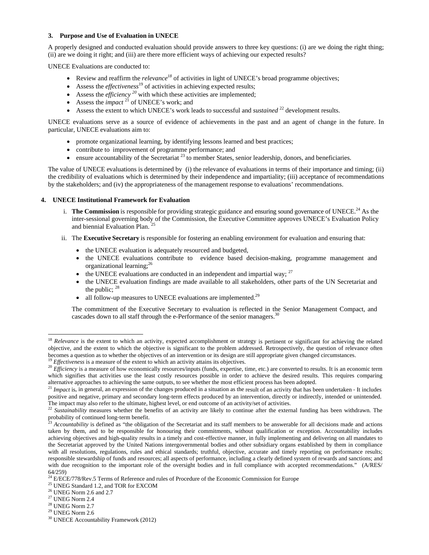#### **3. Purpose and Use of Evaluation in UNECE**

A properly designed and conducted evaluation should provide answers to three key questions: (i) are we doing the right thing; (ii) are we doing it right; and (iii) are there more efficient ways of achieving our expected results?

UNECE Evaluations are conducted to:

- Review and reaffirm the *relevance<sup>18</sup>* of activities in light of UNECE's broad programme objectives;
- Assess the *effectiveness*<sup>19</sup> of activities in achieving expected results;
- Assess the *efficiency* <sup>20</sup> with which these activities are implemented;
- Assess the *impact*<sup>21</sup> of UNECE's work; and
- Assess the extent to which UNECE's work leads to successful and *sustained* 22 development results.

UNECE evaluations serve as a source of evidence of achievements in the past and an agent of change in the future. In particular, UNECE evaluations aim to:

- promote organizational learning, by identifying lessons learned and best practices;
- contribute to improvement of programme performance; and
- ensure accountability of the Secretariat  $^{23}$  to member States, senior leadership, donors, and beneficiaries.

The value of UNECE evaluations is determined by (i) the relevance of evaluations in terms of their importance and timing; (ii) the credibility of evaluations which is determined by their independence and impartiality; (iii) acceptance of recommendations by the stakeholders; and (iv) the appropriateness of the management response to evaluations' recommendations.

## **4. UNECE Institutional Framework for Evaluation**

- i. **The Commission** is responsible for providing strategic guidance and ensuring sound governance of UNECE.<sup>24</sup> As the inter-sessional governing body of the Commission, the Executive Committee approves UNECE's Evaluation Policy and biennial Evaluation Plan.<sup>2</sup>
- ii. The **Executive Secretary** is responsible for fostering an enabling environment for evaluation and ensuring that:
	- the UNECE evaluation is adequately resourced and budgeted,
	- the UNECE evaluations contribute to evidence based decision-making, programme management and organizational learning;<sup>26</sup>
	- the UNECE evaluations are conducted in an independent and impartial way;  $27$
	- the UNECE evaluation findings are made available to all stakeholders, other parts of the UN Secretariat and the public;  $28$
	- all follow-up measures to UNECE evaluations are implemented.<sup>29</sup>

The commitment of the Executive Secretary to evaluation is reflected in the Senior Management Compact, and cascades down to all staff through the e-Performance of the senior managers.<sup>30</sup>

<sup>&</sup>lt;sup>18</sup> *Relevance* is the extent to which an activity, expected accomplishment or strategy is pertinent or significant for achieving the related objective, and the extent to which the objective is significant to the problem addressed. Retrospectively, the question of relevance often becomes a question as to whether the objectives of an intervention or its design are still appropriate given changed circumstances.<br><sup>19</sup> *Effectiveness* is a measure of the extent to which an activity attains its objective

which signifies that activities use the least costly resources possible in order to achieve the desired results. This requires comparing alternative approaches to achieving the same outputs, to see whether the most efficient process has been adopted.<br><sup>21</sup> Impact is, in general, an expression of the changes produced in a situation as the result of an activit

positive and negative, primary and secondary long-term effects produced by an intervention, directly or indirectly, intended or unintended. The impact may also refer to the ultimate, highest level, or end outcome of an activity/set of activities.

<sup>&</sup>lt;sup>22</sup> *Sustainability* measures whether the benefits of an activity are likely to continue after the external funding has been withdrawn. The probability of continued long-term benefit.<br><sup>23</sup> Agosuntability is defined as "th

Accountability is defined as "the obligation of the Secretariat and its staff members to be answerable for all decisions made and actions taken by them, and to be responsible for honouring their commitments, without qualification or exception. Accountability includes achieving objectives and high-quality results in a timely and cost-effective manner, in fully implementing and delivering on all mandates to the Secretariat approved by the United Nations intergovernmental bodies and other subsidiary organs established by them in compliance with all resolutions, regulations, rules and ethical standards; truthful, objective, accurate and timely reporting on performance results; responsible stewardship of funds and resources; all aspects of performance, including a clearly defined system of rewards and sanctions; and with due recognition to the important role of the oversight bodies and in full compliance with accepted recommendations." (A/RES/ 64/259)

<sup>&</sup>lt;sup>24</sup> E/ECE/778/Rev.5 Terms of Reference and rules of Procedure of the Economic Commission for Europe

 $^{25}$  UNEG Standard 1.2, and TOR for EXCOM  $^{26}$  UNEG Norm 2.6 and 2.7  $\,$ 

 $^\mathrm{27}$  UNEG Norm 2.4

 $^{28}$  UNEG Norm  $2.7\,$ 

 $29$  UNEG Norm 2.6

<sup>30</sup> UNECE Accountability Framework (2012)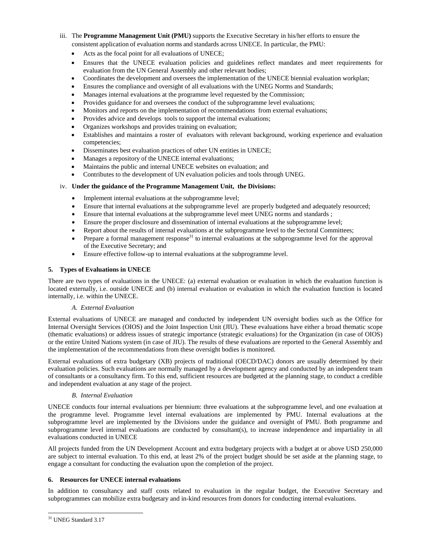- iii. The **Programme Management Unit (PMU)** supports the Executive Secretary in his/her efforts to ensure the consistent application of evaluation norms and standards across UNECE. In particular, the PMU:
	- Acts as the focal point for all evaluations of UNECE;
	- Ensures that the UNECE evaluation policies and guidelines reflect mandates and meet requirements for evaluation from the UN General Assembly and other relevant bodies;
	- Coordinates the development and oversees the implementation of the UNECE biennial evaluation workplan;
	- Ensures the compliance and oversight of all evaluations with the UNEG Norms and Standards;
	- Manages internal evaluations at the programme level requested by the Commission;
	- Provides guidance for and oversees the conduct of the subprogramme level evaluations;
	- Monitors and reports on the implementation of recommendations from external evaluations;
	- Provides advice and develops tools to support the internal evaluations;
	- Organizes workshops and provides training on evaluation;
	- Establishes and maintains a roster of evaluators with relevant background, working experience and evaluation competencies;
	- Disseminates best evaluation practices of other UN entities in UNECE;
	- Manages a repository of the UNECE internal evaluations;
	- Maintains the public and internal UNECE websites on evaluation; and
	- Contributes to the development of UN evaluation policies and tools through UNEG.

#### iv. **Under the guidance of the Programme Management Unit, the Divisions:**

- Implement internal evaluations at the subprogramme level;
- Ensure that internal evaluations at the subprogramme level are properly budgeted and adequately resourced;
- Ensure that internal evaluations at the subprogramme level meet UNEG norms and standards ;
- Ensure the proper disclosure and dissemination of internal evaluations at the subprogramme level;
- Report about the results of internal evaluations at the subprogramme level to the Sectoral Committees;
- Prepare a formal management response<sup>31</sup> to internal evaluations at the subprogramme level for the approval of the Executive Secretary; and
- Ensure effective follow-up to internal evaluations at the subprogramme level.

#### **5. Types of Evaluations in UNECE**

There are two types of evaluations in the UNECE: (a) external evaluation or evaluation in which the evaluation function is located externally, i.e. outside UNECE and (b) internal evaluation or evaluation in which the evaluation function is located internally, i.e. within the UNECE.

#### *A. External Evaluation*

External evaluations of UNECE are managed and conducted by independent UN oversight bodies such as the Office for Internal Oversight Services (OIOS) and the Joint Inspection Unit (JIU). These evaluations have either a broad thematic scope (thematic evaluations) or address issues of strategic importance (strategic evaluations) for the Organization (in case of OIOS) or the entire United Nations system (in case of JIU). The results of these evaluations are reported to the General Assembly and the implementation of the recommendations from these oversight bodies is monitored.

External evaluations of extra budgetary (XB) projects of traditional (OECD/DAC) donors are usually determined by their evaluation policies. Such evaluations are normally managed by a development agency and conducted by an independent team of consultants or a consultancy firm. To this end, sufficient resources are budgeted at the planning stage, to conduct a credible and independent evaluation at any stage of the project.

#### *B. Internal Evaluation*

UNECE conducts four internal evaluations per biennium: three evaluations at the subprogramme level, and one evaluation at the programme level. Programme level internal evaluations are implemented by PMU. Internal evaluations at the subprogramme level are implemented by the Divisions under the guidance and oversight of PMU. Both programme and subprogramme level internal evaluations are conducted by consultant(s), to increase independence and impartiality in all evaluations conducted in UNECE

All projects funded from the UN Development Account and extra budgetary projects with a budget at or above USD 250,000 are subject to internal evaluation. To this end, at least 2% of the project budget should be set aside at the planning stage, to engage a consultant for conducting the evaluation upon the completion of the project.

#### **6. Resources for UNECE internal evaluations**

In addition to consultancy and staff costs related to evaluation in the regular budget, the Executive Secretary and subprogrammes can mobilize extra budgetary and in-kind resources from donors for conducting internal evaluations.

 <sup>31</sup> UNEG Standard 3.17